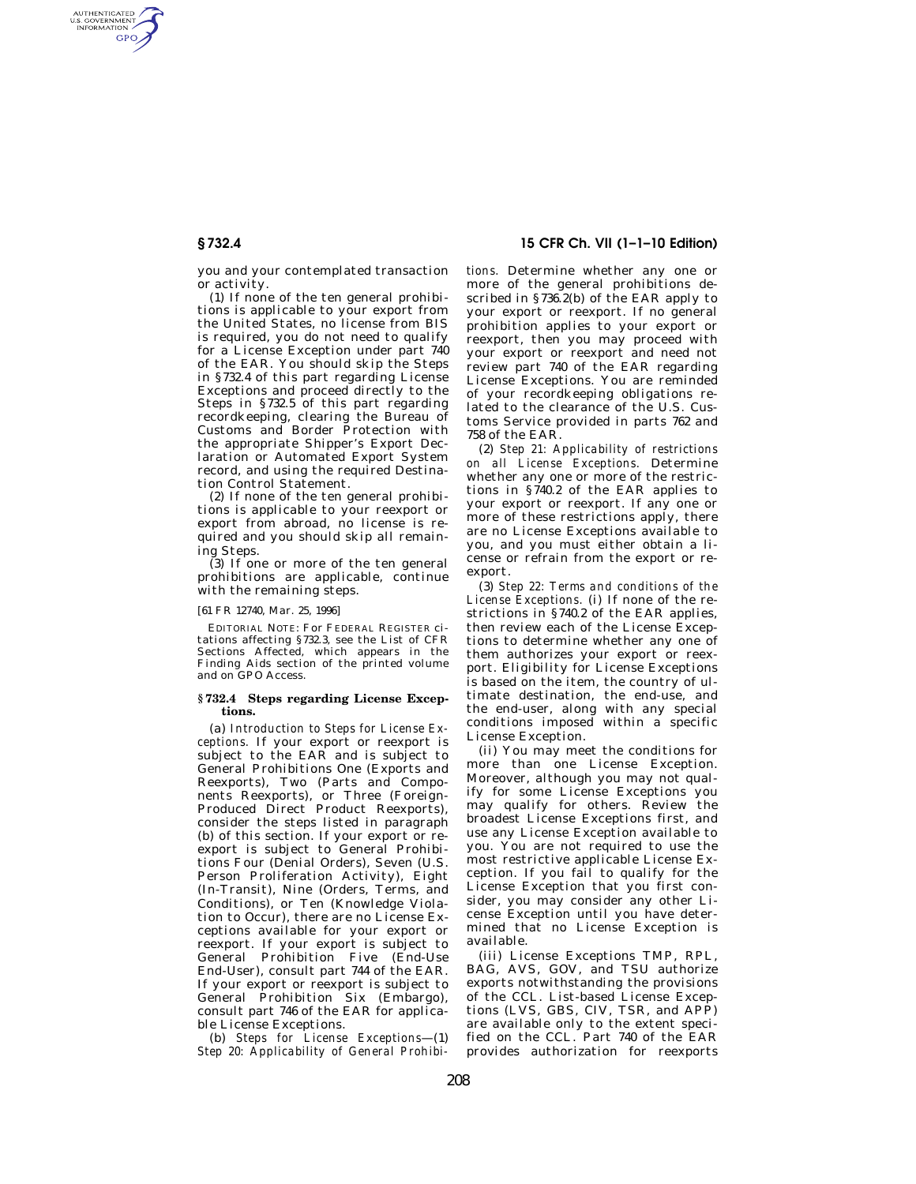AUTHENTICATED<br>U.S. GOVERNMENT<br>INFORMATION GPO

> you and your contemplated transaction or activity.

(1) If none of the ten general prohibitions is applicable to your export from the United States, no license from BIS is required, you do not need to qualify for a License Exception under part 740 of the EAR. You should skip the Steps in §732.4 of this part regarding License Exceptions and proceed directly to the Steps in §732.5 of this part regarding recordkeeping, clearing the Bureau of Customs and Border Protection with the appropriate Shipper's Export Declaration or Automated Export System record, and using the required Destination Control Statement.

(2) If none of the ten general prohibitions is applicable to your reexport or export from abroad, no license is required and you should skip all remaining Steps.

 $(3)$  If one or more of the ten general prohibitions are applicable, continue with the remaining steps.

## [61 FR 12740, Mar. 25, 1996]

EDITORIAL NOTE: For FEDERAL REGISTER citations affecting §732.3, see the List of CFR Sections Affected, which appears in the Finding Aids section of the printed volume and on GPO Access.

## **§ 732.4 Steps regarding License Exceptions.**

(a) *Introduction to Steps for License Exceptions.* If your export or reexport is subject to the EAR and is subject to General Prohibitions One (Exports and Reexports), Two (Parts and Components Reexports), or Three (Foreign-Produced Direct Product Reexports), consider the steps listed in paragraph (b) of this section. If your export or reexport is subject to General Prohibitions Four (Denial Orders), Seven (U.S. Person Proliferation Activity), Eight (In-Transit), Nine (Orders, Terms, and Conditions), or Ten (Knowledge Violation to Occur), there are no License Exceptions available for your export or reexport. If your export is subject to General Prohibition Five (End-Use End-User), consult part 744 of the EAR. If your export or reexport is subject to General Prohibition Six (Embargo), consult part 746 of the EAR for applicable License Exceptions.

(b) *Steps for License Exceptions*—(1) *Step 20: Applicability of General Prohibi-*

**§ 732.4 15 CFR Ch. VII (1–1–10 Edition)** 

*tions.* Determine whether any one or more of the general prohibitions described in §736.2(b) of the EAR apply to your export or reexport. If no general prohibition applies to your export or reexport, then you may proceed with your export or reexport and need not review part 740 of the EAR regarding License Exceptions. You are reminded of your recordkeeping obligations related to the clearance of the U.S. Customs Service provided in parts 762 and 758 of the EAR.

(2) *Step 21: Applicability of restrictions on all License Exceptions.* Determine whether any one or more of the restrictions in §740.2 of the EAR applies to your export or reexport. If any one or more of these restrictions apply, there are no License Exceptions available to you, and you must either obtain a license or refrain from the export or reexport.

(3) *Step 22: Terms and conditions of the License Exceptions.* (i) If none of the restrictions in §740.2 of the EAR applies, then review each of the License Exceptions to determine whether any one of them authorizes your export or reexport. Eligibility for License Exceptions is based on the item, the country of ultimate destination, the end-use, and the end-user, along with any special conditions imposed within a specific License Exception.

(ii) You may meet the conditions for more than one License Exception. Moreover, although you may not qualify for some License Exceptions you may qualify for others. Review the broadest License Exceptions first, and use any License Exception available to you. You are not required to use the most restrictive applicable License Exception. If you fail to qualify for the License Exception that you first consider, you may consider any other License Exception until you have determined that no License Exception is available.

(iii) License Exceptions TMP, RPL, BAG, AVS, GOV, and TSU authorize exports notwithstanding the provisions of the CCL. List-based License Exceptions (LVS, GBS, CIV, TSR, and APP) are available only to the extent specified on the CCL. Part 740 of the EAR provides authorization for reexports